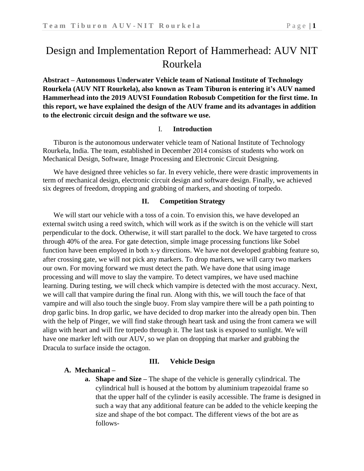# Design and Implementation Report of Hammerhead: AUV NIT Rourkela

**Abstract – Autonomous Underwater Vehicle team of National Institute of Technology Rourkela (AUV NIT Rourkela), also known as Team Tiburon is entering it's AUV named Hammerhead into the 2019 AUVSI Foundation Robosub Competition for the first time. In this report, we have explained the design of the AUV frame and its advantages in addition to the electronic circuit design and the software we use.**

#### I. **Introduction**

Tiburon is the autonomous underwater vehicle team of National Institute of Technology Rourkela, India. The team, established in December 2014 consists of students who work on Mechanical Design, Software, Image Processing and Electronic Circuit Designing.

We have designed three vehicles so far. In every vehicle, there were drastic improvements in term of mechanical design, electronic circuit design and software design. Finally, we achieved six degrees of freedom, dropping and grabbing of markers, and shooting of torpedo.

#### **II. Competition Strategy**

We will start our vehicle with a toss of a coin. To envision this, we have developed an external switch using a reed switch, which will work as if the switch is on the vehicle will start perpendicular to the dock. Otherwise, it will start parallel to the dock. We have targeted to cross through 40% of the area. For gate detection, simple image processing functions like Sobel function have been employed in both x-y directions. We have not developed grabbing feature so, after crossing gate, we will not pick any markers. To drop markers, we will carry two markers our own. For moving forward we must detect the path. We have done that using image processing and will move to slay the vampire. To detect vampires, we have used machine learning. During testing, we will check which vampire is detected with the most accuracy. Next, we will call that vampire during the final run. Along with this, we will touch the face of that vampire and will also touch the single buoy. From slay vampire there will be a path pointing to drop garlic bins. In drop garlic, we have decided to drop marker into the already open bin. Then with the help of Pinger, we will find stake through heart task and using the front camera we will align with heart and will fire torpedo through it. The last task is exposed to sunlight. We will have one marker left with our AUV, so we plan on dropping that marker and grabbing the Dracula to surface inside the octagon.

#### **III. Vehicle Design**

#### **A. Mechanical –**

**a. Shape and Size –** The shape of the vehicle is generally cylindrical. The cylindrical hull is housed at the bottom by aluminium trapezoidal frame so that the upper half of the cylinder is easily accessible. The frame is designed in such a way that any additional feature can be added to the vehicle keeping the size and shape of the bot compact. The different views of the bot are as follows-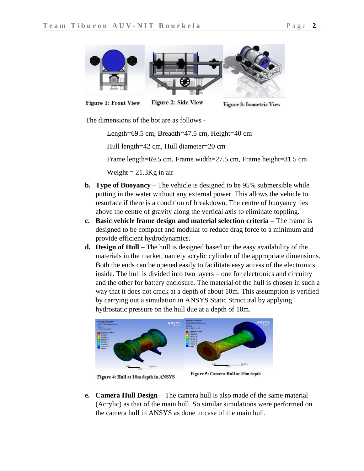

**Figure 1: Front View** 

**Figure 2: Side View** 

**Figure 3: Isometric View** 

The dimensions of the bot are as follows -

Length=69.5 cm, Breadth=47.5 cm, Height=40 cm

Hull length=42 cm, Hull diameter=20 cm

Frame length=69.5 cm, Frame width=27.5 cm, Frame height=31.5 cm

Weight  $= 21.3$ Kg in air

- **b. Type of Buoyancy –** The vehicle is designed to be 95% submersible while putting in the water without any external power. This allows the vehicle to resurface if there is a condition of breakdown. The centre of buoyancy lies above the centre of gravity along the vertical axis to eliminate toppling.
- **c. Basic vehicle frame design and material selection criteria –** The frame is designed to be compact and modular to reduce drag force to a minimum and provide efficient hydrodynamics.
- **d. Design of Hull –** The hull is designed based on the easy availability of the materials in the market, namely acrylic cylinder of the appropriate dimensions. Both the ends can be opened easily to facilitate easy access of the electronics inside. The hull is divided into two layers – one for electronics and circuitry and the other for battery enclosure. The material of the hull is chosen in such a way that it does not crack at a depth of about 10m. This assumption is verified by carrying out a simulation in ANSYS Static Structural by applying hydrostatic pressure on the hull due at a depth of 10m.



Figure 4: Hull at 10m depth in ANSYS

Figure 5: Camera Hull at 10m depth

**e. Camera Hull Design –** The camera hull is also made of the same material (Acrylic) as that of the main hull. So similar simulations were performed on the camera hull in ANSYS as done in case of the main hull.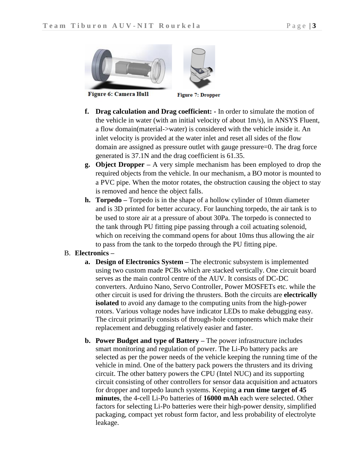**Figure 6: Camera Hull** 

**Figure 7: Dropper** 

- **f. Drag calculation and Drag coefficient: -** In order to simulate the motion of the vehicle in water (with an initial velocity of about 1m/s), in ANSYS Fluent, a flow domain(material->water) is considered with the vehicle inside it. An inlet velocity is provided at the water inlet and reset all sides of the flow domain are assigned as pressure outlet with gauge pressure=0. The drag force generated is 37.1N and the drag coefficient is 61.35.
- **g. Object Dropper –** A very simple mechanism has been employed to drop the required objects from the vehicle. In our mechanism, a BO motor is mounted to a PVC pipe. When the motor rotates, the obstruction causing the object to stay is removed and hence the object falls.
- **h. Torpedo –** Torpedo is in the shape of a hollow cylinder of 10mm diameter and is 3D printed for better accuracy. For launching torpedo, the air tank is to be used to store air at a pressure of about 30Pa. The torpedo is connected to the tank through PU fitting pipe passing through a coil actuating solenoid, which on receiving the command opens for about 10ms thus allowing the air to pass from the tank to the torpedo through the PU fitting pipe.

### B. **Electronics –**

- **a. Design of Electronics System –** The electronic subsystem is implemented using two custom made PCBs which are stacked vertically. One circuit board serves as the main control centre of the AUV. It consists of DC-DC converters. Arduino Nano, Servo Controller, Power MOSFETs etc. while the other circuit is used for driving the thrusters. Both the circuits are **electrically isolated** to avoid any damage to the computing units from the high-power rotors. Various voltage nodes have indicator LEDs to make debugging easy. The circuit primarily consists of through-hole components which make their replacement and debugging relatively easier and faster.
- **b. Power Budget and type of Battery –** The power infrastructure includes smart monitoring and regulation of power. The Li-Po battery packs are selected as per the power needs of the vehicle keeping the running time of the vehicle in mind. One of the battery pack powers the thrusters and its driving circuit. The other battery powers the CPU (Intel NUC) and its supporting circuit consisting of other controllers for sensor data acquisition and actuators for dropper and torpedo launch systems. Keeping **a run time target of 45 minutes**, the 4-cell Li-Po batteries of **16000 mAh** each were selected. Other factors for selecting Li-Po batteries were their high-power density, simplified packaging, compact yet robust form factor, and less probability of electrolyte leakage.

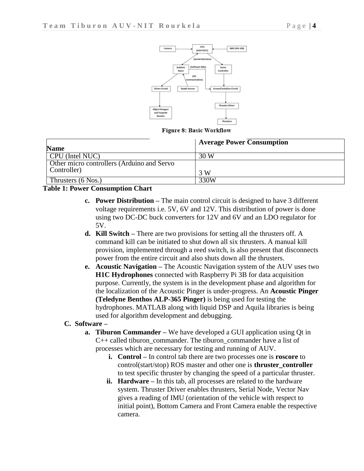

**Figure 8: Basic Workflow** 

| <b>Name</b>                                               | <b>Average Power Consumption</b> |
|-----------------------------------------------------------|----------------------------------|
| CPU (Intel NUC)                                           | 30 W                             |
| Other micro controllers (Arduino and Servo<br>Controller) | 3 W                              |
| Thrusters $(6 \text{ Nos.})$                              | 330W                             |

#### **Table 1: Power Consumption Chart**

- **c. Power Distribution –** The main control circuit is designed to have 3 different voltage requirements i.e. 5V, 6V and 12V. This distribution of power is done using two DC-DC buck converters for 12V and 6V and an LDO regulator for 5V.
- **d. Kill Switch –** There are two provisions for setting all the thrusters off. A command kill can be initiated to shut down all six thrusters. A manual kill provision, implemented through a reed switch, is also present that disconnects power from the entire circuit and also shuts down all the thrusters.
- **e. Acoustic Navigation –** The Acoustic Navigation system of the AUV uses two **H1C Hydrophones** connected with Raspberry Pi 3B for data acquisition purpose. Currently, the system is in the development phase and algorithm for the localization of the Acoustic Pinger is under-progress. An **Acoustic Pinger (Teledyne Benthos ALP-365 Pinger)** is being used for testing the hydrophones. MATLAB along with liquid DSP and Aquila libraries is being used for algorithm development and debugging.

#### **C. Software –**

- **a. Tiburon Commander –** We have developed a GUI application using Qt in C++ called tiburon\_commander. The tiburon\_commander have a list of processes which are necessary for testing and running of AUV.
	- **i. Control –** In control tab there are two processes one is **roscore** to control(start/stop) ROS master and other one is **thruster\_controller** to test specific thruster by changing the speed of a particular thruster.
	- **ii. Hardware –** In this tab, all processes are related to the hardware system. Thruster Driver enables thrusters, Serial Node, Vector Nav gives a reading of IMU (orientation of the vehicle with respect to initial point), Bottom Camera and Front Camera enable the respective camera.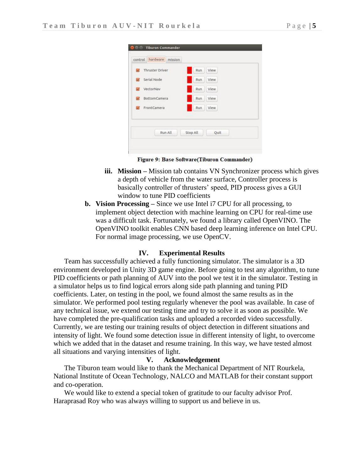| $\sim$                   | Thruster Driver     | Run      | View  |  |
|--------------------------|---------------------|----------|-------|--|
| $\mathbf{v}$             | Serial Node         | Run      | View. |  |
| $\overline{\mathcal{A}}$ | VectorNav           | Run      | View  |  |
| $\checkmark$             | <b>BottomCamera</b> | Run      | View  |  |
| $\mathbf{v}$             | FrontCamera         | Run      | View  |  |
|                          | Run All             | Stop All | Quit  |  |

Figure 9: Base Software(Tiburon Commander)

- **iii. Mission –** Mission tab contains VN Synchronizer process which gives a depth of vehicle from the water surface, Controller process is basically controller of thrusters' speed, PID process gives a GUI window to tune PID coefficients
- **b. Vision Processing –** Since we use Intel i7 CPU for all processing, to implement object detection with machine learning on CPU for real-time use was a difficult task. Fortunately, we found a library called OpenVINO. The OpenVINO toolkit enables CNN based deep learning inference on Intel CPU. For normal image processing, we use OpenCV.

#### **IV. Experimental Results**

Team has successfully achieved a fully functioning simulator. The simulator is a 3D environment developed in Unity 3D game engine. Before going to test any algorithm, to tune PID coefficients or path planning of AUV into the pool we test it in the simulator. Testing in a simulator helps us to find logical errors along side path planning and tuning PID coefficients. Later, on testing in the pool, we found almost the same results as in the simulator. We performed pool testing regularly whenever the pool was available. In case of any technical issue, we extend our testing time and try to solve it as soon as possible. We have completed the pre-qualification tasks and uploaded a recorded video successfully. Currently, we are testing our training results of object detection in different situations and intensity of light. We found some detection issue in different intensity of light, to overcome which we added that in the dataset and resume training. In this way, we have tested almost all situations and varying intensities of light.

#### **V. Acknowledgement**

The Tiburon team would like to thank the Mechanical Department of NIT Rourkela, National Institute of Ocean Technology, NALCO and MATLAB for their constant support and co-operation.

We would like to extend a special token of gratitude to our faculty advisor Prof. Haraprasad Roy who was always willing to support us and believe in us.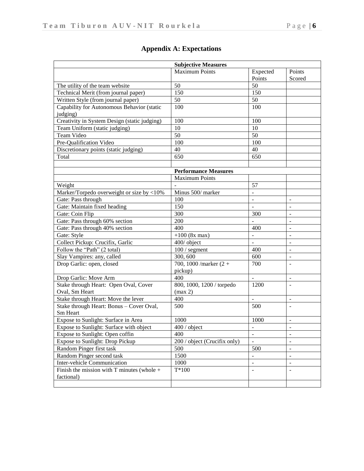| <b>Subjective Measures</b>                   |                              |                          |                          |  |  |
|----------------------------------------------|------------------------------|--------------------------|--------------------------|--|--|
|                                              | <b>Maximum Points</b>        | Expected                 | Points                   |  |  |
|                                              |                              | Points                   | Scored                   |  |  |
| The utility of the team website              | 50                           | 50                       |                          |  |  |
| Technical Merit (from journal paper)         | 150                          | 150                      |                          |  |  |
| Written Style (from journal paper)           | 50                           | 50                       |                          |  |  |
| Capability for Autonomous Behavior (static   | 100                          | 100                      |                          |  |  |
| judging)                                     |                              |                          |                          |  |  |
| Creativity in System Design (static judging) | 100                          | 100                      |                          |  |  |
| Team Uniform (static judging)                | 10                           | 10                       |                          |  |  |
| <b>Team Video</b>                            | 50                           | 50                       |                          |  |  |
| Pre-Qualification Video                      | 100                          | 100                      |                          |  |  |
| Discretionary points (static judging)        | 40                           | 40                       |                          |  |  |
| Total                                        | 650                          | 650                      |                          |  |  |
|                                              |                              |                          |                          |  |  |
|                                              | <b>Performance Measures</b>  |                          |                          |  |  |
|                                              | <b>Maximum Points</b>        |                          |                          |  |  |
| Weight                                       |                              | 57                       |                          |  |  |
| Marker/Torpedo overweight or size by <10%    | Minus 500/ marker            |                          |                          |  |  |
| Gate: Pass through                           | 100                          |                          |                          |  |  |
| Gate: Maintain fixed heading                 | 150                          |                          |                          |  |  |
| Gate: Coin Flip                              | 300                          | 300                      |                          |  |  |
| Gate: Pass through 60% section               | 200                          |                          |                          |  |  |
| Gate: Pass through 40% section               | 400                          | 400                      |                          |  |  |
| Gate: Style                                  | $+100$ (8x max)              |                          |                          |  |  |
| Collect Pickup: Crucifix, Garlic             | 400/ object                  |                          |                          |  |  |
| Follow the "Path" (2 total)                  | $100/$ segment               | 400                      |                          |  |  |
| Slay Vampires: any, called                   | 300, 600                     | 600                      |                          |  |  |
| Drop Garlic: open, closed                    | 700, 1000 / marker $(2 +$    | 700                      |                          |  |  |
|                                              | pickup)                      |                          |                          |  |  |
| Drop Garlic: Move Arm                        | 400                          | $\overline{a}$           | $\overline{a}$           |  |  |
| Stake through Heart: Open Oval, Cover        | 800, 1000, 1200 / torpedo    | 1200                     | $\sim$                   |  |  |
| Oval, Sm Heart                               | (max 2)                      |                          |                          |  |  |
| Stake through Heart: Move the lever          | 400                          | $\overline{a}$           | $\overline{\phantom{a}}$ |  |  |
| Stake through Heart: Bonus - Cover Oval,     | 500                          | 500                      | $\overline{a}$           |  |  |
| Sm Heart                                     |                              |                          |                          |  |  |
| Expose to Sunlight: Surface in Area          | 1000                         | 1000                     | $\overline{\phantom{a}}$ |  |  |
| Expose to Sunlight: Surface with object      | 400 / object                 |                          |                          |  |  |
| Expose to Sunlight: Open coffin              | 400                          | $\blacksquare$           | $\overline{\phantom{a}}$ |  |  |
| Expose to Sunlight: Drop Pickup              | 200 / object (Crucifix only) | $\equiv$                 | $\overline{\phantom{a}}$ |  |  |
| Random Pinger first task                     | 500                          | 500                      | $\blacksquare$           |  |  |
| Random Pinger second task                    | 1500                         | $\overline{\phantom{a}}$ | $\blacksquare$           |  |  |
| Inter-vehicle Communication                  | 1000                         | $\blacksquare$           | $\blacksquare$           |  |  |
| Finish the mission with T minutes (whole $+$ | $T*100$                      | $\blacksquare$           | $\overline{\phantom{a}}$ |  |  |
| factional)                                   |                              |                          |                          |  |  |
|                                              |                              |                          |                          |  |  |

## **Appendix A: Expectations**